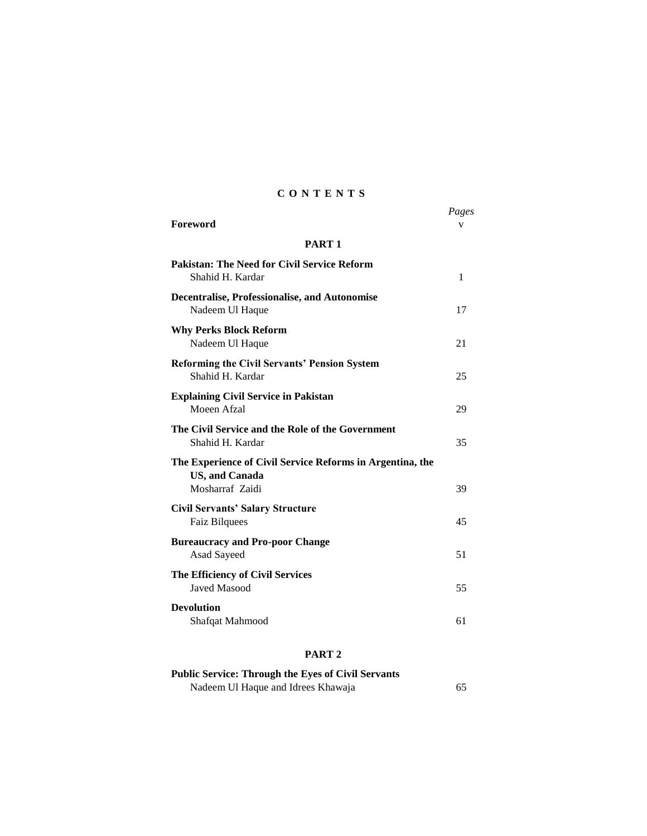## **C O N T E N T S**

| <b>Foreword</b>                                                                    | Pages<br>v |
|------------------------------------------------------------------------------------|------------|
| PART <sub>1</sub>                                                                  |            |
| <b>Pakistan: The Need for Civil Service Reform</b><br>Shahid H. Kardar             | 1          |
| <b>Decentralise, Professionalise, and Autonomise</b><br>Nadeem Ul Haque            | 17         |
| <b>Why Perks Block Reform</b><br>Nadeem Ul Haque                                   | 21         |
| <b>Reforming the Civil Servants' Pension System</b><br>Shahid H. Kardar            | 25         |
| <b>Explaining Civil Service in Pakistan</b><br>Moeen Afzal                         | 29         |
| The Civil Service and the Role of the Government<br>Shahid H. Kardar               | 35         |
| The Experience of Civil Service Reforms in Argentina, the<br><b>US, and Canada</b> |            |
| Mosharraf Zaidi                                                                    | 39         |
| <b>Civil Servants' Salary Structure</b><br><b>Faiz Bilquees</b>                    | 45         |
| <b>Bureaucracy and Pro-poor Change</b><br>Asad Sayeed                              | 51         |
| The Efficiency of Civil Services<br><b>Javed Masood</b>                            | 55         |
| <b>Devolution</b><br>Shafqat Mahmood                                               | 61         |

## **PART 2**

| <b>Public Service: Through the Eyes of Civil Servants</b> |    |
|-----------------------------------------------------------|----|
| Nadeem Ul Haque and Idrees Khawaja                        | 65 |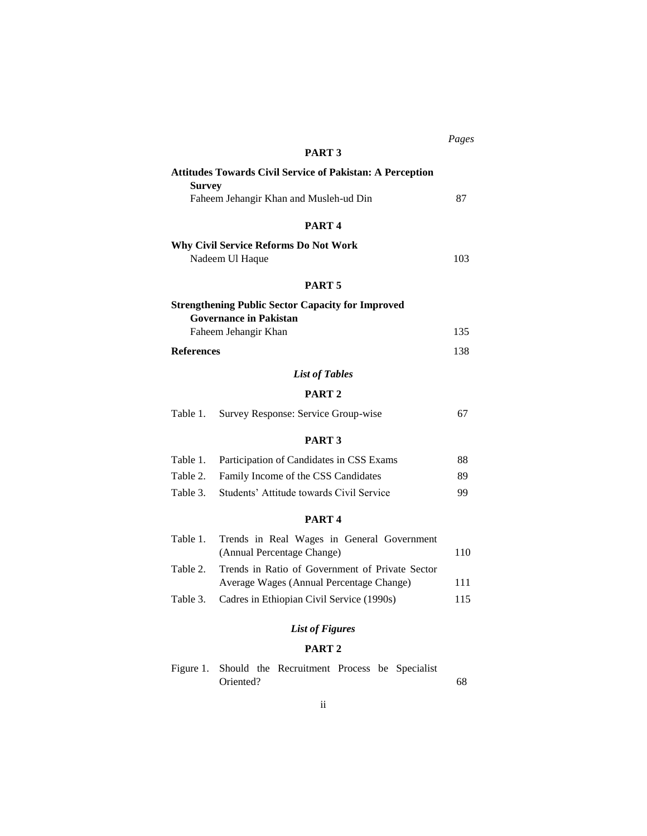|                                                                                   | PART <sub>3</sub>                                         |     |  |
|-----------------------------------------------------------------------------------|-----------------------------------------------------------|-----|--|
| <b>Attitudes Towards Civil Service of Pakistan: A Perception</b><br><b>Survey</b> |                                                           |     |  |
|                                                                                   | Faheem Jehangir Khan and Musleh-ud Din                    | 87  |  |
|                                                                                   | PART <sub>4</sub>                                         |     |  |
|                                                                                   | <b>Why Civil Service Reforms Do Not Work</b>              |     |  |
|                                                                                   | Nadeem Ul Haque                                           | 103 |  |
|                                                                                   | PART <sub>5</sub>                                         |     |  |
|                                                                                   | <b>Strengthening Public Sector Capacity for Improved</b>  |     |  |
|                                                                                   | <b>Governance in Pakistan</b><br>Faheem Jehangir Khan     | 135 |  |
| <b>References</b>                                                                 |                                                           | 138 |  |
|                                                                                   | <b>List of Tables</b>                                     |     |  |
|                                                                                   | PART <sub>2</sub>                                         |     |  |
| Table 1.                                                                          | Survey Response: Service Group-wise                       | 67  |  |
|                                                                                   | PART <sub>3</sub>                                         |     |  |
| Table 1.                                                                          | Participation of Candidates in CSS Exams                  | 88  |  |
| Table 2.                                                                          | Family Income of the CSS Candidates                       | 89  |  |
| Table 3.                                                                          | Students' Attitude towards Civil Service                  | 99  |  |
| PART <sub>4</sub>                                                                 |                                                           |     |  |
| Table 1.                                                                          | Trends in Real Wages in General Government                |     |  |
|                                                                                   | (Annual Percentage Change)                                | 110 |  |
| Table 2.                                                                          | Trends in Ratio of Government of Private Sector           |     |  |
|                                                                                   | Average Wages (Annual Percentage Change)                  | 111 |  |
| Table 3.                                                                          | Cadres in Ethiopian Civil Service (1990s)                 | 115 |  |
| <b>List of Figures</b>                                                            |                                                           |     |  |
| PART <sub>2</sub>                                                                 |                                                           |     |  |
| Figure 1.                                                                         | Should the Recruitment Process be Specialist<br>Oriented? | 68  |  |

## *Pages*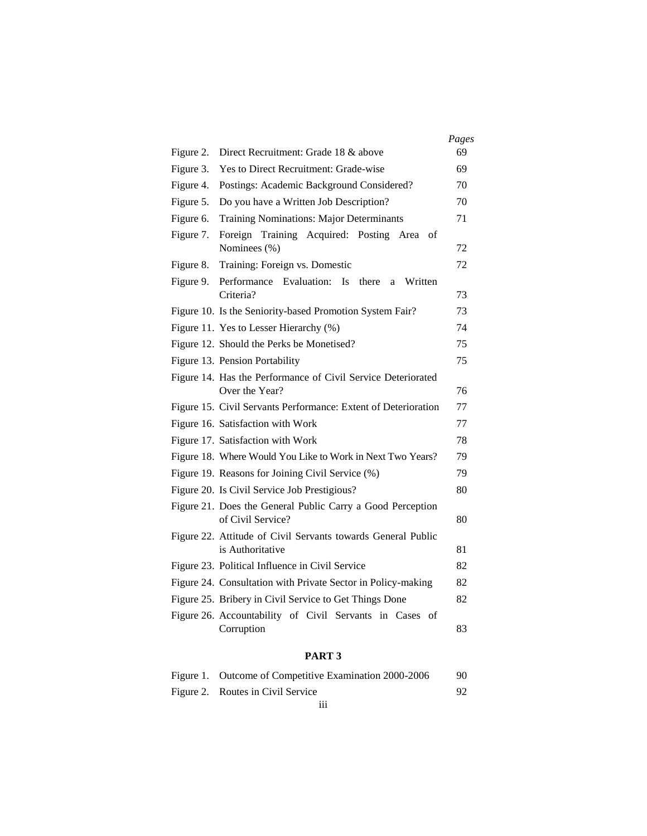|           |                                                                                 | Pages |
|-----------|---------------------------------------------------------------------------------|-------|
| Figure 2. | Direct Recruitment: Grade 18 & above                                            | 69    |
| Figure 3. | Yes to Direct Recruitment: Grade-wise                                           | 69    |
| Figure 4. | Postings: Academic Background Considered?                                       | 70    |
| Figure 5. | Do you have a Written Job Description?                                          | 70    |
| Figure 6. | <b>Training Nominations: Major Determinants</b>                                 | 71    |
| Figure 7. | Foreign Training Acquired: Posting Area of<br>Nominees (%)                      | 72    |
| Figure 8. | Training: Foreign vs. Domestic                                                  | 72    |
| Figure 9. | Performance Evaluation:<br>$\mathbf{I}$ s<br>there<br>Written<br>a<br>Criteria? | 73    |
|           | Figure 10. Is the Seniority-based Promotion System Fair?                        | 73    |
|           | Figure 11. Yes to Lesser Hierarchy (%)                                          | 74    |
|           | Figure 12. Should the Perks be Monetised?                                       | 75    |
|           | Figure 13. Pension Portability                                                  | 75    |
|           | Figure 14. Has the Performance of Civil Service Deteriorated                    |       |
|           | Over the Year?                                                                  | 76    |
|           | Figure 15. Civil Servants Performance: Extent of Deterioration                  | 77    |
|           | Figure 16. Satisfaction with Work                                               | 77    |
|           | Figure 17. Satisfaction with Work                                               | 78    |
|           | Figure 18. Where Would You Like to Work in Next Two Years?                      | 79    |
|           | Figure 19. Reasons for Joining Civil Service (%)                                | 79    |
|           | Figure 20. Is Civil Service Job Prestigious?                                    | 80    |
|           | Figure 21. Does the General Public Carry a Good Perception<br>of Civil Service? | 80    |
|           | Figure 22. Attitude of Civil Servants towards General Public                    |       |
|           | is Authoritative                                                                | 81    |
|           | Figure 23. Political Influence in Civil Service                                 | 82    |
|           | Figure 24. Consultation with Private Sector in Policy-making                    | 82    |
|           | Figure 25. Bribery in Civil Service to Get Things Done                          | 82    |
|           | Figure 26. Accountability of Civil Servants in Cases of<br>Corruption           | 83    |

## **PART 3**

| Figure 1. Outcome of Competitive Examination 2000-2006 | 90. |
|--------------------------------------------------------|-----|
| Figure 2. Routes in Civil Service                      |     |
|                                                        |     |